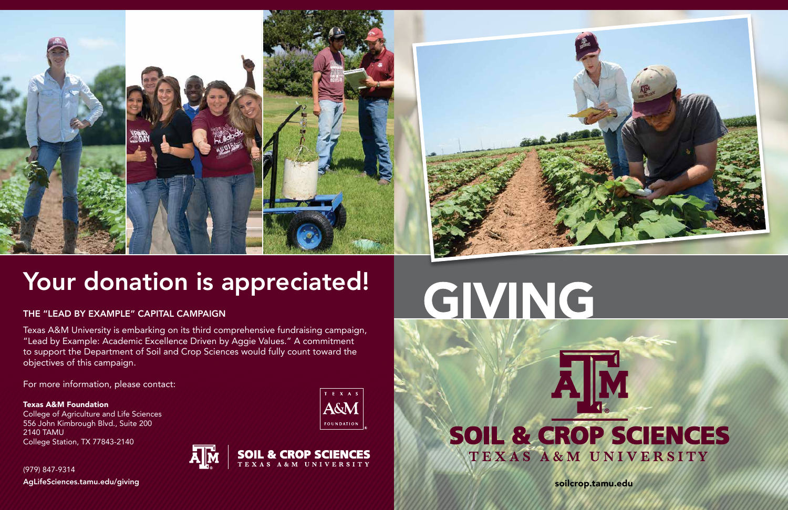

# Your donation is appreciated!

### THE "LEAD BY EXAMPLE" CAPITAL CAMPAIGN

soilcrop.tamu.edu

Texas A&M University is embarking on its third comprehensive fundraising campaign, "Lead by Example: Academic Excellence Driven by Aggie Values." A commitment to support the Department of Soil and Crop Sciences would fully count toward the objectives of this campaign.

For more information, please contact:

Texas A&M Foundation College of Agriculture and Life Sciences 556 John Kimbrough Blvd., Suite 200 2140 TAMU College Station, TX 77843-2140

T E X A S A&M **FOUNDATION** 



# GIVING

# AM SOIL & CROP SCIENCES TEXAS A&M UNIVERSITY

(979) 847-9314 AgLifeSciences.tamu.edu/giving